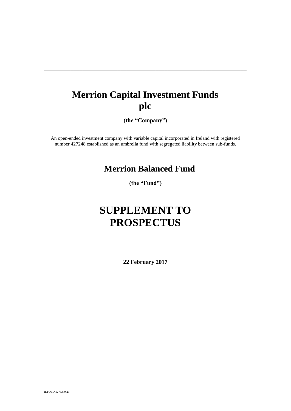# **Merrion Capital Investment Funds plc**

**\_\_\_\_\_\_\_\_\_\_\_\_\_\_\_\_\_\_\_\_\_\_\_\_\_\_\_\_\_\_\_\_\_\_\_\_\_\_\_\_\_\_\_\_\_\_\_\_\_\_\_\_\_\_\_\_\_\_\_\_\_\_\_\_\_\_\_\_\_**

**(the "Company")**

An open-ended investment company with variable capital incorporated in Ireland with registered number 427248 established as an umbrella fund with segregated liability between sub-funds.

## **Merrion Balanced Fund**

**(the "Fund")**

# **SUPPLEMENT TO PROSPECTUS**

**22 February 2017** \_\_\_\_\_\_\_\_\_\_\_\_\_\_\_\_\_\_\_\_\_\_\_\_\_\_\_\_\_\_\_\_\_\_\_\_\_\_\_\_\_\_\_\_\_\_\_\_\_\_\_\_\_\_\_\_\_\_\_\_\_\_\_\_\_\_\_\_

IKFOLD\1275370.23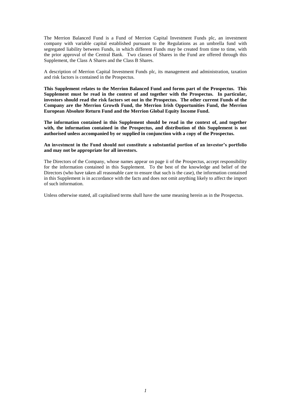The Merrion Balanced Fund is a Fund of Merrion Capital Investment Funds plc, an investment company with variable capital established pursuant to the Regulations as an umbrella fund with segregated liability between Funds, in which different Funds may be created from time to time, with the prior approval of the Central Bank. Two classes of Shares in the Fund are offered through this Supplement, the Class A Shares and the Class B Shares.

A description of Merrion Capital Investment Funds plc, its management and administration, taxation and risk factors is contained in the Prospectus.

**This Supplement relates to the Merrion Balanced Fund and forms part of the Prospectus. This Supplement must be read in the context of and together with the Prospectus. In particular, investors should read the risk factors set out in the Prospectus. The other current Funds of the Company are the Merrion Growth Fund, the Merrion Irish Opportunities Fund, the Merrion European Absolute Return Fund and the Merrion Global Equity Income Fund.**

**The information contained in this Supplement should be read in the context of, and together with, the information contained in the Prospectus, and distribution of this Supplement is not authorised unless accompanied by or supplied in conjunction with a copy of the Prospectus.** 

**An investment in the Fund should not constitute a substantial portion of an investor's portfolio and may not be appropriate for all investors.**

The Directors of the Company, whose names appear on page ii of the Prospectus, accept responsibility for the information contained in this Supplement. To the best of the knowledge and belief of the Directors (who have taken all reasonable care to ensure that such is the case), the information contained in this Supplement is in accordance with the facts and does not omit anything likely to affect the import of such information.

Unless otherwise stated, all capitalised terms shall have the same meaning herein as in the Prospectus.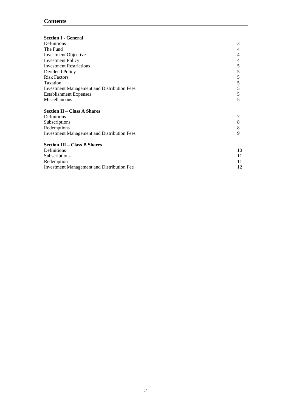### **Contents**

<span id="page-2-0"></span>

| <b>Section I - General</b>                         |    |
|----------------------------------------------------|----|
| Definitions                                        | 3  |
| The Fund                                           | 4  |
| <b>Investment Objective</b>                        | 4  |
| <b>Investment Policy</b>                           | 4  |
| <b>Investment Restrictions</b>                     | 5  |
| Dividend Policy                                    | 5  |
| <b>Risk Factors</b>                                | 5  |
| Taxation                                           | 5  |
| <b>Investment Management and Distribution Fees</b> | 5  |
| <b>Establishment Expenses</b>                      | 5  |
| Miscellaneous                                      | 5  |
| <b>Section II – Class A Shares</b>                 |    |
| Definitions                                        |    |
| Subscriptions                                      | 8  |
| Redemptions                                        | 8  |
| <b>Investment Management and Distribution Fees</b> | 9  |
| <b>Section III – Class B Shares</b>                |    |
| Definitions                                        | 10 |
| Subscriptions                                      | 11 |
| Redemption                                         | 11 |
| <b>Investment Management and Distribution Fee</b>  | 12 |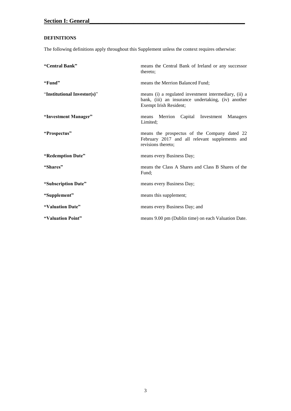### **DEFINITIONS**

The following definitions apply throughout this Supplement unless the context requires otherwise:

| "Central Bank"              | means the Central Bank of Ireland or any successor<br>thereto:                                                                        |
|-----------------------------|---------------------------------------------------------------------------------------------------------------------------------------|
| "Fund"                      | means the Merrion Balanced Fund:                                                                                                      |
| "Institutional Investor(s)" | means (i) a regulated investment intermediary, (ii) a<br>bank, (iii) an insurance undertaking, (iv) another<br>Exempt Irish Resident; |
| "Investment Manager"        | Merrion Capital Investment Managers<br>means<br>Limited;                                                                              |
| "Prospectus"                | means the prospectus of the Company dated 22<br>February 2017 and all relevant supplements and<br>revisions thereto;                  |
| "Redemption Date"           | means every Business Day;                                                                                                             |
| "Shares"                    | means the Class A Shares and Class B Shares of the<br>Fund;                                                                           |
| "Subscription Date"         | means every Business Day;                                                                                                             |
| "Supplement"                | means this supplement;                                                                                                                |
| "Valuation Date"            | means every Business Day; and                                                                                                         |
| "Valuation Point"           | means 9.00 pm (Dublin time) on each Valuation Date.                                                                                   |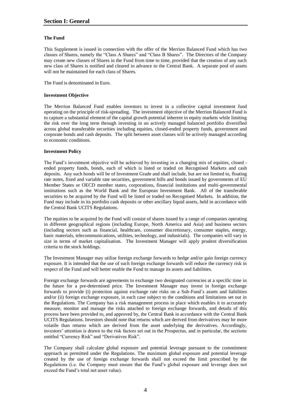#### <span id="page-4-0"></span>**The Fund**

This Supplement is issued in connection with the offer of the Merrion Balanced Fund which has two classes of Shares, namely the "Class A Shares" and "Class B Shares". The Directors of the Company may create new classes of Shares in the Fund from time to time, provided that the creation of any such new class of Shares is notified and cleared in advance to the Central Bank. A separate pool of assets will not be maintained for each class of Shares.

The Fund is denominated in Euro.

#### <span id="page-4-1"></span>**Investment Objective**

The Merrion Balanced Fund enables investors to invest in a collective capital investment fund operating on the principle of risk-spreading. The investment objective of the Merrion Balanced Fund is to capture a substantial element of the capital growth potential inherent in equity markets while limiting the risk over the long term through investing in an actively managed balanced portfolio diversified across global transferable securities including equities, closed-ended property funds, government and corporate bonds and cash deposits. The split between asset classes will be actively managed according to economic conditions.

#### <span id="page-4-2"></span>**Investment Policy**

The Fund's investment objective will be achieved by investing in a changing mix of equities, closed ended property funds, bonds, each of which is listed or traded on Recognised Markets and cash deposits. Any such bonds will be of Investment Grade and shall include, but are not limited to, floating rate notes, fixed and variable rate securities, government bills and bonds issued by governments of EU Member States or OECD member states, corporations, financial institutions and multi-governmental institutions such as the World Bank and the European Investment Bank. All of the transferable securities to be acquired by the Fund will be listed or traded on Recognised Markets. In addition, the Fund may include in its portfolio cash deposits or other ancillary liquid assets, held in accordance with the Central Bank UCITS Regulations.

The equities to be acquired by the Fund will consist of shares issued by a range of companies operating in different geographical regions (including Europe, North America and Asia) and business sectors (including sectors such as financial, healthcare, consumer discretionary, consumer staples, energy, basic materials, telecommunications, utilities, technology, and industrials). The companies will vary in size in terms of market capitalisation. The Investment Manager will apply prudent diversification criteria to the stock holdings.

The Investment Manager may utilise foreign exchange forwards to hedge and/or gain foreign currency exposure. It is intended that the use of such foreign exchange forwards will reduce the currency risk in respect of the Fund and will better enable the Fund to manage its assets and liabilities.

Foreign exchange forwards are agreements to exchange two designated currencies at a specific time in the future for a pre-determined price. The Investment Manager may invest in foreign exchange forwards to provide (i) protection against exchange rate risks on a Sub-Fund's assets and liabilities and/or (ii) foreign exchange exposure, in each case subject to the conditions and limitations set out in the Regulations. The Company has a risk management process in place which enables it to accurately measure, monitor and manage the risks attached to foreign exchange forwards, and details of this process have been provided to, and approved by, the Central Bank in accordance with the Central Bank UCITS Regulations. Investors should note that returns which are derived from derivatives may be more volatile than returns which are derived from the asset underlying the derivatives. Accordingly, investors' attention is drawn to the risk factors set out in the Prospectus, and in particular, the sections entitled "Currency Risk" and "Derivatives Risk".

The Company shall calculate global exposure and potential leverage pursuant to the commitment approach as permitted under the Regulations. The maximum global exposure and potential leverage created by the use of foreign exchange forwards shall not exceed the limit prescribed by the Regulations (i.e. the Company must ensure that the Fund's global exposure and leverage does not exceed the Fund's total net asset value).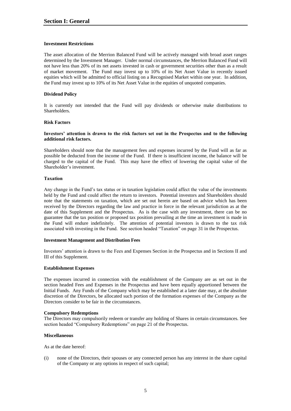#### <span id="page-5-0"></span>**Investment Restrictions**

The asset allocation of the Merrion Balanced Fund will be actively managed with broad asset ranges determined by the Investment Manager. Under normal circumstances, the Merrion Balanced Fund will not have less than 20% of its net assets invested in cash or government securities other than as a result of market movement. The Fund may invest up to 10% of its Net Asset Value in recently issued equities which will be admitted to official listing on a Recognised Market within one year. In addition, the Fund may invest up to 10% of its Net Asset Value in the equities of unquoted companies.

#### <span id="page-5-1"></span>**Dividend Policy**

It is currently not intended that the Fund will pay dividends or otherwise make distributions to Shareholders.

#### <span id="page-5-2"></span>**Risk Factors**

#### **Investors' attention is drawn to the risk factors set out in the Prospectus and to the following additional risk factors.**

Shareholders should note that the management fees and expenses incurred by the Fund will as far as possible be deducted from the income of the Fund. If there is insufficient income, the balance will be charged to the capital of the Fund. This may have the effect of lowering the capital value of the Shareholder's investment.

#### <span id="page-5-3"></span>**Taxation**

Any change in the Fund's tax status or in taxation legislation could affect the value of the investments held by the Fund and could affect the return to investors. Potential investors and Shareholders should note that the statements on taxation, which are set out herein are based on advice which has been received by the Directors regarding the law and practice in force in the relevant jurisdiction as at the date of this Supplement and the Prospectus. As is the case with any investment, there can be no guarantee that the tax position or proposed tax position prevailing at the time an investment is made in the Fund will endure indefinitely. The attention of potential investors is drawn to the tax risk associated with investing in the Fund. See section headed "Taxation" on page 31 in the Prospectus.

#### <span id="page-5-4"></span>**Investment Management and Distribution Fees**

Investors' attention is drawn to the Fees and Expenses Section in the Prospectus and in Sections II and III of this Supplement.

#### <span id="page-5-5"></span>**Establishment Expenses**

The expenses incurred in connection with the establishment of the Company are as set out in the section headed Fees and Expenses in the Prospectus and have been equally apportioned between the Initial Funds. Any Funds of the Company which may be established at a later date may, at the absolute discretion of the Directors, be allocated such portion of the formation expenses of the Company as the Directors consider to be fair in the circumstances.

#### **Compulsory Redemptions**

The Directors may compulsorily redeem or transfer any holding of Shares in certain circumstances. See section headed "Compulsory Redemptions" on page 21 of the Prospectus.

#### <span id="page-5-6"></span>**Miscellaneous**

As at the date hereof:

(i) none of the Directors, their spouses or any connected person has any interest in the share capital of the Company or any options in respect of such capital;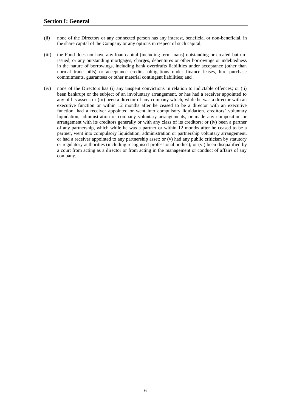- (ii) none of the Directors or any connected person has any interest, beneficial or non-beneficial, in the share capital of the Company or any options in respect of such capital;
- (iii) the Fund does not have any loan capital (including term loans) outstanding or created but unissued, or any outstanding mortgages, charges, debentures or other borrowings or indebtedness in the nature of borrowings, including bank overdrafts liabilities under acceptance (other than normal trade bills) or acceptance credits, obligations under finance leases, hire purchase commitments, guarantees or other material contingent liabilities; and
- (iv) none of the Directors has (i) any unspent convictions in relation to indictable offences; or (ii) been bankrupt or the subject of an involuntary arrangement, or has had a receiver appointed to any of his assets; or (iii) been a director of any company which, while he was a director with an executive function or within 12 months after he ceased to be a director with an executive function, had a receiver appointed or went into compulsory liquidation, creditors' voluntary liquidation, administration or company voluntary arrangements, or made any composition or arrangement with its creditors generally or with any class of its creditors; or (iv) been a partner of any partnership, which while he was a partner or within 12 months after he ceased to be a partner, went into compulsory liquidation, administration or partnership voluntary arrangement, or had a receiver appointed to any partnership asset; or (v) had any public criticism by statutory or regulatory authorities (including recognised professional bodies); or (vi) been disqualified by a court from acting as a director or from acting in the management or conduct of affairs of any company.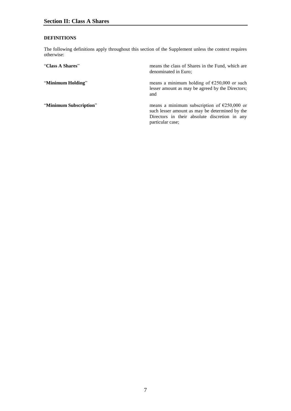#### <span id="page-7-0"></span>**DEFINITIONS**

The following definitions apply throughout this section of the Supplement unless the context requires otherwise:

| "Class A Shares"       | means the class of Shares in the Fund, which are<br>denominated in Euro;                                                                                                     |
|------------------------|------------------------------------------------------------------------------------------------------------------------------------------------------------------------------|
| "Minimum Holding"      | means a minimum holding of $\epsilon$ 250,000 or such<br>lesser amount as may be agreed by the Directors;<br>and                                                             |
| "Minimum Subscription" | means a minimum subscription of $\epsilon$ 250,000 or<br>such lesser amount as may be determined by the<br>Directors in their absolute discretion in any<br>particular case; |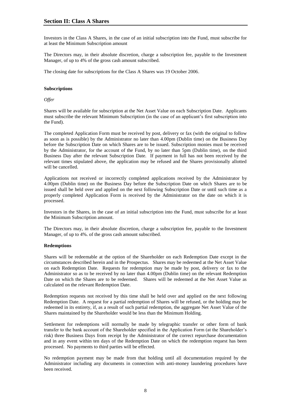Investors in the Class A Shares, in the case of an initial subscription into the Fund, must subscribe for at least the Minimum Subscription amount

The Directors may, in their absolute discretion, charge a subscription fee, payable to the Investment Manager, of up to 4% of the gross cash amount subscribed.

The closing date for subscriptions for the Class A Shares was 19 October 2006.

#### <span id="page-8-0"></span>**Subscriptions**

*Offer*

Shares will be available for subscription at the Net Asset Value on each Subscription Date. Applicants must subscribe the relevant Minimum Subscription (in the case of an applicant's first subscription into the Fund).

The completed Application Form must be received by post, delivery or fax (with the original to follow as soon as is possible) by the Administrator no later than 4.00pm (Dublin time) on the Business Day before the Subscription Date on which Shares are to be issued. Subscription monies must be received by the Administrator, for the account of the Fund, by no later than 5pm (Dublin time), on the third Business Day after the relevant Subscription Date. If payment in full has not been received by the relevant times stipulated above, the application may be refused and the Shares provisionally allotted will be cancelled.

Applications not received or incorrectly completed applications received by the Administrator by 4.00pm (Dublin time) on the Business Day before the Subscription Date on which Shares are to be issued shall be held over and applied on the next following Subscription Date or until such time as a properly completed Application Form is received by the Administrator on the date on which it is processed.

Investors in the Shares, in the case of an initial subscription into the Fund, must subscribe for at least the Minimum Subscription amount.

The Directors may, in their absolute discretion, charge a subscription fee, payable to the Investment Manager, of up to 4%. of the gross cash amount subscribed.

#### <span id="page-8-1"></span>**Redemptions**

Shares will be redeemable at the option of the Shareholder on each Redemption Date except in the circumstances described herein and in the Prospectus. Shares may be redeemed at the Net Asset Value on each Redemption Date. Requests for redemption may be made by post, delivery or fax to the Administrator so as to be received by no later than 4.00pm (Dublin time) on the relevant Redemption Date on which the Shares are to be redeemed. Shares will be redeemed at the Net Asset Value as calculated on the relevant Redemption Date.

Redemption requests not received by this time shall be held over and applied on the next following Redemption Date. A request for a partial redemption of Shares will be refused, or the holding may be redeemed in its entirety, if, as a result of such partial redemption, the aggregate Net Asset Value of the Shares maintained by the Shareholder would be less than the Minimum Holding.

Settlement for redemptions will normally be made by telegraphic transfer or other form of bank transfer to the bank account of the Shareholder specified in the Application Form (at the Shareholder's risk) three Business Days from receipt by the Administrator of the correct repurchase documentation and in any event within ten days of the Redemption Date on which the redemption request has been processed. No payments to third parties will be effected.

No redemption payment may be made from that holding until all documentation required by the Administrator including any documents in connection with anti-money laundering procedures have been received.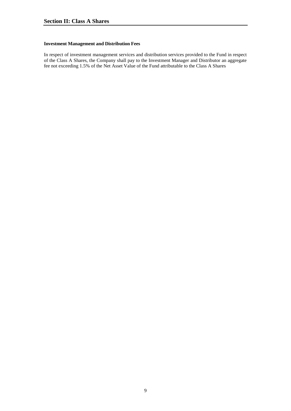#### <span id="page-9-0"></span>**Investment Management and Distribution Fees**

In respect of investment management services and distribution services provided to the Fund in respect of the Class A Shares, the Company shall pay to the Investment Manager and Distributor an aggregate fee not exceeding 1.5% of the Net Asset Value of the Fund attributable to the Class A Shares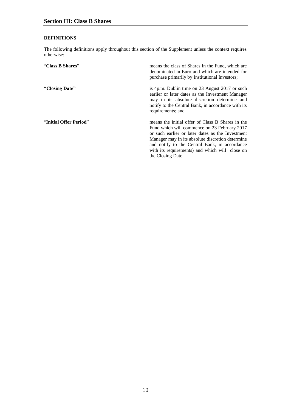#### <span id="page-10-0"></span>**DEFINITIONS**

The following definitions apply throughout this section of the Supplement unless the context requires otherwise:

| "Class B Shares"       | means the class of Shares in the Fund, which are<br>denominated in Euro and which are intended for<br>purchase primarily by Institutional Investors;                                                                                                                                                                             |
|------------------------|----------------------------------------------------------------------------------------------------------------------------------------------------------------------------------------------------------------------------------------------------------------------------------------------------------------------------------|
| "Closing Date"         | is 4p.m. Dublin time on 23 August 2017 or such<br>earlier or later dates as the Investment Manager<br>may in its absolute discretion determine and<br>notify to the Central Bank, in accordance with its<br>requirements; and                                                                                                    |
| "Initial Offer Period" | means the initial offer of Class B Shares in the<br>Fund which will commence on 23 February 2017<br>or such earlier or later dates as the Investment<br>Manager may in its absolute discretion determine<br>and notify to the Central Bank, in accordance<br>with its requirements) and which will close on<br>the Closing Date. |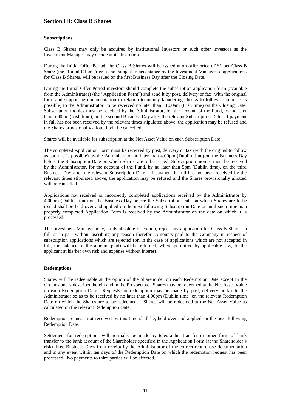#### <span id="page-11-0"></span>**Subscriptions**

Class B Shares may only be acquired by Institutional Investors or such other investors as the Investment Manager may decide at its discretion.

During the Initial Offer Period, the Class B Shares will be issued at an offer price of  $\epsilon_1$  per Class B Share (the "Initial Offer Price") and, subject to acceptance by the Investment Manager of applications for Class B Shares, will be issued on the first Business Day after the Closing Date.

During the Initial Offer Period investors should complete the subscription application form (available from the Administrator) (the "Application Form") and send it by post, delivery or fax (with the original form and supporting documentation in relation to money laundering checks to follow as soon as is possible) to the Administrator, to be received no later than 11.00am (Irish time) on the Closing Date. Subscription monies must be received by the Administrator, for the account of the Fund, by no later than 5.00pm (Irish time), on the second Business Day after the relevant Subscription Date. If payment in full has not been received by the relevant times stipulated above, the application may be refused and the Shares provisionally allotted will be cancelled.

Shares will be available for subscription at the Net Asset Value on each Subscription Date.

The completed Application Form must be received by post, delivery or fax (with the original to follow as soon as is possible) by the Administrator no later than 4.00pm (Dublin time) on the Business Day before the Subscription Date on which Shares are to be issued. Subscription monies must be received by the Administrator, for the account of the Fund, by no later than 5pm (Dublin time), on the third Business Day after the relevant Subscription Date. If payment in full has not been received by the relevant times stipulated above, the application may be refused and the Shares provisionally allotted will be cancelled.

Applications not received or incorrectly completed applications received by the Administrator by 4.00pm (Dublin time) on the Business Day before the Subscription Date on which Shares are to be issued shall be held over and applied on the next following Subscription Date or until such time as a properly completed Application Form is received by the Administrator on the date on which it is processed.

The Investment Manager may, in its absolute discretion, reject any application for Class B Shares in full or in part without ascribing any reason therefor. Amounts paid to the Company in respect of subscription applications which are rejected (or, in the case of applications which are not accepted in full, the balance of the amount paid) will be returned, where permitted by applicable law, to the applicant at his/her own risk and expense without interest.

#### <span id="page-11-1"></span>**Redemptions**

Shares will be redeemable at the option of the Shareholder on each Redemption Date except in the circumstances described herein and in the Prospectus. Shares may be redeemed at the Net Asset Value on each Redemption Date. Requests for redemption may be made by post, delivery or fax to the Administrator so as to be received by no later than 4.00pm (Dublin time) on the relevant Redemption Date on which the Shares are to be redeemed. Shares will be redeemed at the Net Asset Value as calculated on the relevant Redemption Date.

Redemption requests not received by this time shall be, held over and applied on the next following Redemption Date.

Settlement for redemptions will normally be made by telegraphic transfer or other form of bank transfer to the bank account of the Shareholder specified in the Application Form (at the Shareholder's risk) three Business Days from receipt by the Administrator of the correct repurchase documentation and in any event within ten days of the Redemption Date on which the redemption request has been processed. No payments to third parties will be effected.